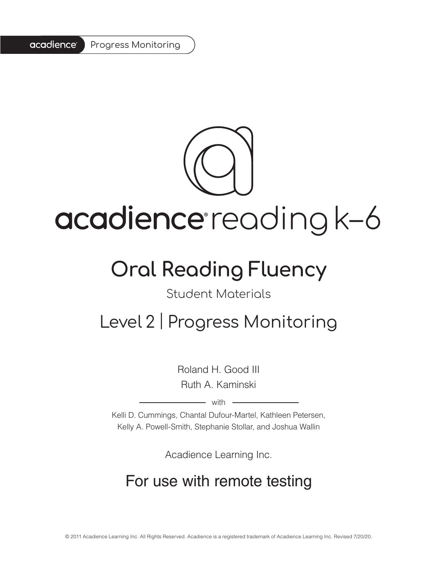#### acadience<sup>®</sup> Progress Monitoring



# acadience reading k-6

## **Oral Reading Fluency**

#### Student Materials

## Level 2 | Progress Monitoring

Roland H. Good III Ruth A. Kaminski

 $-$  with  $-$ 

Kelli D. Cummings, Chantal Dufour-Martel, Kathleen Petersen, Kelly A. Powell-Smith, Stephanie Stollar, and Joshua Wallin

Acadience Learning Inc.

## For use with remote testing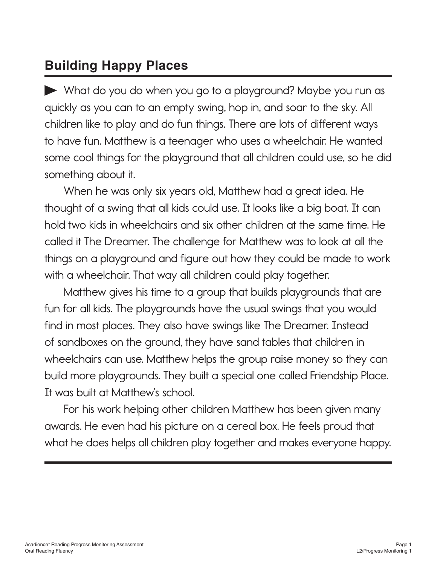## **Building Happy Places**

What do you do when you go to a playground? Maybe you run as quickly as you can to an empty swing, hop in, and soar to the sky. All children like to play and do fun things. There are lots of different ways to have fun. Matthew is a teenager who uses a wheelchair. He wanted some cool things for the playground that all children could use, so he did something about it.

When he was only six years old, Matthew had a great idea. He thought of a swing that all kids could use. It looks like a big boat. It can hold two kids in wheelchairs and six other children at the same time. He called it The Dreamer. The challenge for Matthew was to look at all the things on a playground and figure out how they could be made to work with a wheelchair. That way all children could play together.

Matthew gives his time to a group that builds playgrounds that are fun for all kids. The playgrounds have the usual swings that you would find in most places. They also have swings like The Dreamer. Instead of sandboxes on the ground, they have sand tables that children in wheelchairs can use. Matthew helps the group raise money so they can build more playgrounds. They built a special one called Friendship Place. It was built at Matthew's school.

For his work helping other children Matthew has been given many awards. He even had his picture on a cereal box. He feels proud that what he does helps all children play together and makes everyone happy.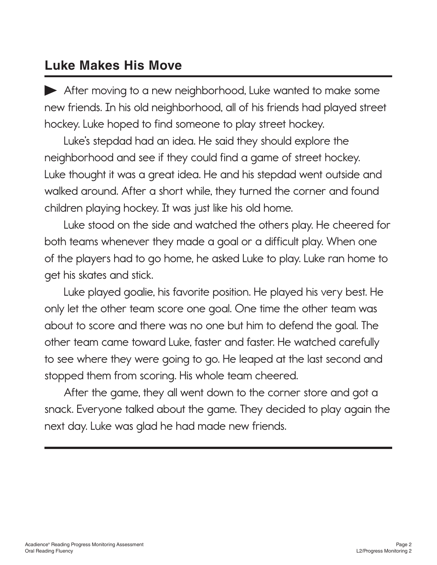#### **Luke Makes His Move**

After moving to a new neighborhood, Luke wanted to make some new friends. In his old neighborhood, all of his friends had played street hockey. Luke hoped to find someone to play street hockey.

Luke's stepdad had an idea. He said they should explore the neighborhood and see if they could find a game of street hockey. Luke thought it was a great idea. He and his stepdad went outside and walked around. After a short while, they turned the corner and found children playing hockey. It was just like his old home.

Luke stood on the side and watched the others play. He cheered for both teams whenever they made a goal or a difficult play. When one of the players had to go home, he asked Luke to play. Luke ran home to get his skates and stick.

Luke played goalie, his favorite position. He played his very best. He only let the other team score one goal. One time the other team was about to score and there was no one but him to defend the goal. The other team came toward Luke, faster and faster. He watched carefully to see where they were going to go. He leaped at the last second and stopped them from scoring. His whole team cheered.

After the game, they all went down to the corner store and got a snack. Everyone talked about the game. They decided to play again the next day. Luke was glad he had made new friends.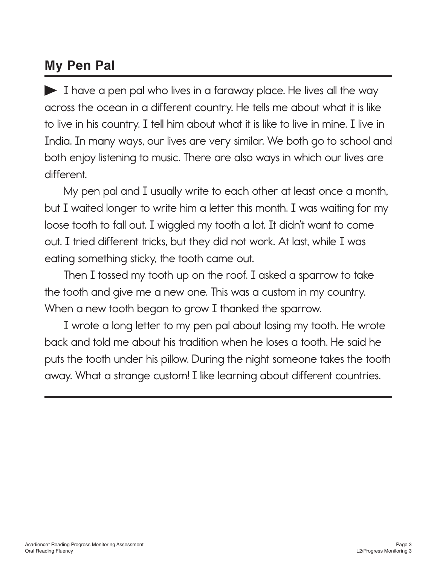## **My Pen Pal**

I have a pen pal who lives in a faraway place. He lives all the way across the ocean in a different country. He tells me about what it is like to live in his country. I tell him about what it is like to live in mine. I live in India. In many ways, our lives are very similar. We both go to school and both enjoy listening to music. There are also ways in which our lives are different.

My pen pal and I usually write to each other at least once a month, but I waited longer to write him a letter this month. I was waiting for my loose tooth to fall out. I wiggled my tooth a lot. It didn't want to come out. I tried different tricks, but they did not work. At last, while I was eating something sticky, the tooth came out.

Then I tossed my tooth up on the roof. I asked a sparrow to take the tooth and give me a new one. This was a custom in my country. When a new tooth began to grow I thanked the sparrow.

I wrote a long letter to my pen pal about losing my tooth. He wrote back and told me about his tradition when he loses a tooth. He said he puts the tooth under his pillow. During the night someone takes the tooth away. What a strange custom! I like learning about different countries.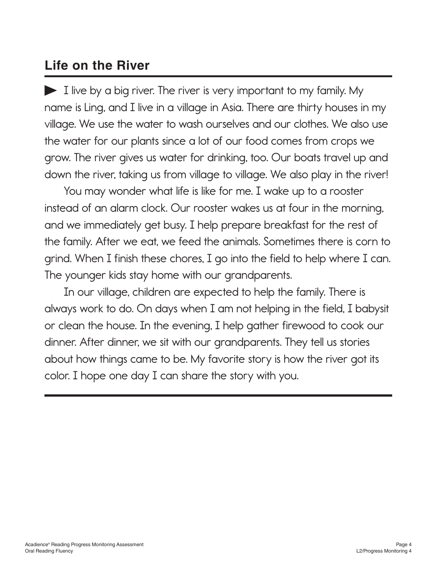#### **Life on the River**

I live by a big river. The river is very important to my family. My name is Ling, and I live in a village in Asia. There are thirty houses in my village. We use the water to wash ourselves and our clothes. We also use the water for our plants since a lot of our food comes from crops we grow. The river gives us water for drinking, too. Our boats travel up and down the river, taking us from village to village. We also play in the river!

You may wonder what life is like for me. I wake up to a rooster instead of an alarm clock. Our rooster wakes us at four in the morning, and we immediately get busy. I help prepare breakfast for the rest of the family. After we eat, we feed the animals. Sometimes there is corn to grind. When I finish these chores, I go into the field to help where I can. The younger kids stay home with our grandparents.

In our village, children are expected to help the family. There is always work to do. On days when I am not helping in the field, I babysit or clean the house. In the evening, I help gather firewood to cook our dinner. After dinner, we sit with our grandparents. They tell us stories about how things came to be. My favorite story is how the river got its color. I hope one day I can share the story with you.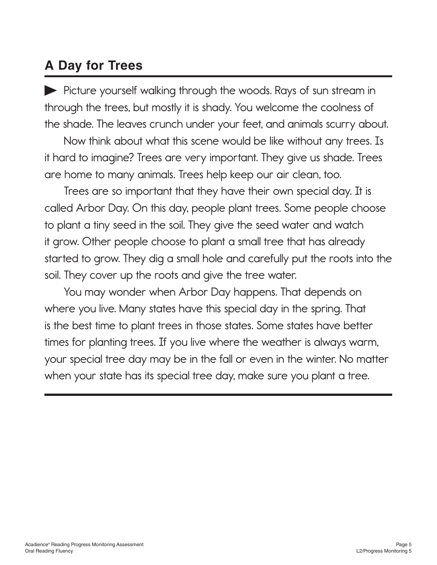## **A Day for Trees**

Picture yourself walking through the woods. Rays of sun stream in through the trees, but mostly it is shady. You welcome the coolness of the shade. The leaves crunch under your feet, and animals scurry about.

Now think about what this scene would be like without any trees. Is it hard to imagine? Trees are very important. They give us shade. Trees are home to many animals. Trees help keep our air clean, too.

Trees are so important that they have their own special day. It is called Arbor Day. On this day, people plant trees. Some people choose to plant a tiny seed in the soil. They give the seed water and watch it grow. Other people choose to plant a small tree that has already started to grow. They dig a small hole and carefully put the roots into the soil. They cover up the roots and give the tree water.

You may wonder when Arbor Day happens. That depends on where you live. Many states have this special day in the spring. That is the best time to plant trees in those states. Some states have better times for planting trees. If you live where the weather is always warm, your special tree day may be in the fall or even in the winter. No matter when your state has its special tree day, make sure you plant a tree.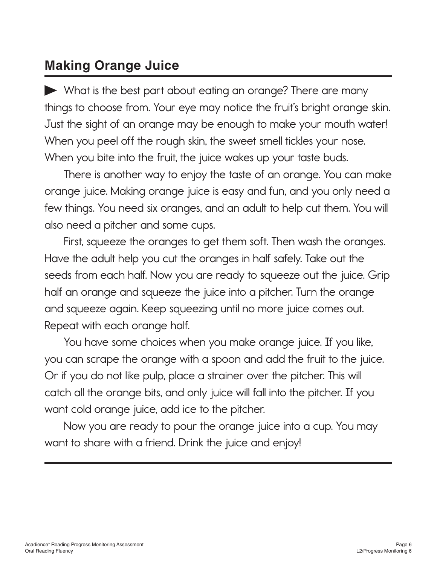## **Making Orange Juice**

What is the best part about eating an orange? There are many things to choose from. Your eye may notice the fruit's bright orange skin. Just the sight of an orange may be enough to make your mouth water! When you peel off the rough skin, the sweet smell tickles your nose. When you bite into the fruit, the juice wakes up your taste buds.

There is another way to enjoy the taste of an orange. You can make orange juice. Making orange juice is easy and fun, and you only need a few things. You need six oranges, and an adult to help cut them. You will also need a pitcher and some cups.

First, squeeze the oranges to get them soft. Then wash the oranges. Have the adult help you cut the oranges in half safely. Take out the seeds from each half. Now you are ready to squeeze out the juice. Grip half an orange and squeeze the juice into a pitcher. Turn the orange and squeeze again. Keep squeezing until no more juice comes out. Repeat with each orange half.

You have some choices when you make orange juice. If you like, you can scrape the orange with a spoon and add the fruit to the juice. Or if you do not like pulp, place a strainer over the pitcher. This will catch all the orange bits, and only juice will fall into the pitcher. If you want cold orange juice, add ice to the pitcher.

Now you are ready to pour the orange juice into a cup. You may want to share with a friend. Drink the juice and enjoy!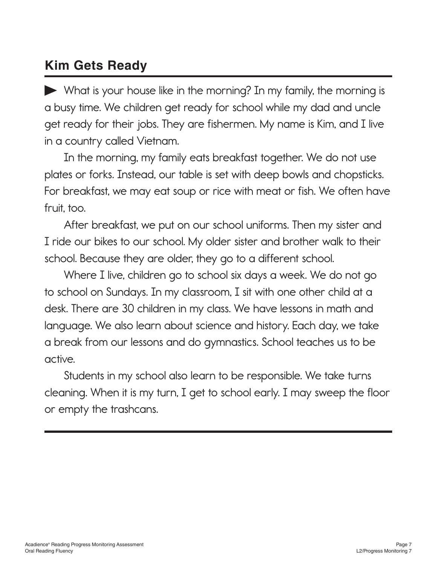## **Kim Gets Ready**

What is your house like in the morning? In my family, the morning is a busy time. We children get ready for school while my dad and uncle get ready for their jobs. They are fishermen. My name is Kim, and I live in a country called Vietnam.

In the morning, my family eats breakfast together. We do not use plates or forks. Instead, our table is set with deep bowls and chopsticks. For breakfast, we may eat soup or rice with meat or fish. We often have fruit, too.

After breakfast, we put on our school uniforms. Then my sister and I ride our bikes to our school. My older sister and brother walk to their school. Because they are older, they go to a different school.

Where I live, children go to school six days a week. We do not go to school on Sundays. In my classroom, I sit with one other child at a desk. There are 30 children in my class. We have lessons in math and language. We also learn about science and history. Each day, we take a break from our lessons and do gymnastics. School teaches us to be active.

Students in my school also learn to be responsible. We take turns cleaning. When it is my turn, I get to school early. I may sweep the floor or empty the trashcans.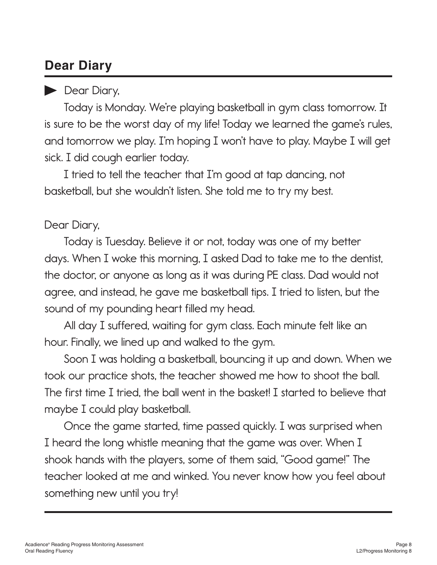### **Dear Diary**

#### Dear Diary,

Today is Monday. We're playing basketball in gym class tomorrow. It is sure to be the worst day of my life! Today we learned the game's rules, and tomorrow we play. I'm hoping I won't have to play. Maybe I will get sick. I did cough earlier today.

I tried to tell the teacher that I'm good at tap dancing, not basketball, but she wouldn't listen. She told me to try my best.

#### Dear Diary,

Today is Tuesday. Believe it or not, today was one of my better days. When I woke this morning, I asked Dad to take me to the dentist, the doctor, or anyone as long as it was during PE class. Dad would not agree, and instead, he gave me basketball tips. I tried to listen, but the sound of my pounding heart filled my head.

All day I suffered, waiting for gym class. Each minute felt like an hour. Finally, we lined up and walked to the gym.

Soon I was holding a basketball, bouncing it up and down. When we took our practice shots, the teacher showed me how to shoot the ball. The first time I tried, the ball went in the basket! I started to believe that maybe I could play basketball.

Once the game started, time passed quickly. I was surprised when I heard the long whistle meaning that the game was over. When I shook hands with the players, some of them said, "Good game!" The teacher looked at me and winked. You never know how you feel about something new until you try!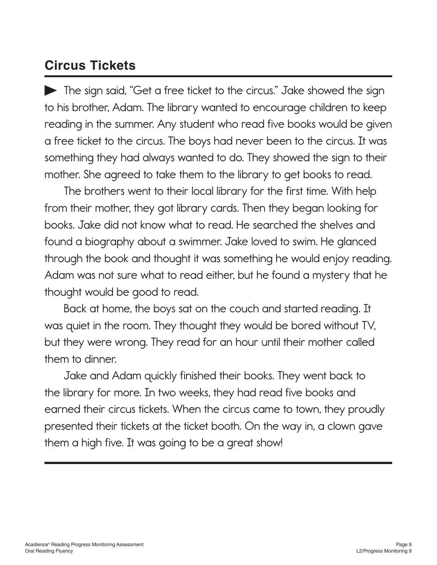### **Circus Tickets**

The sign said, "Get a free ticket to the circus." Jake showed the sign to his brother, Adam. The library wanted to encourage children to keep reading in the summer. Any student who read five books would be given a free ticket to the circus. The boys had never been to the circus. It was something they had always wanted to do. They showed the sign to their mother. She agreed to take them to the library to get books to read.

The brothers went to their local library for the first time. With help from their mother, they got library cards. Then they began looking for books. Jake did not know what to read. He searched the shelves and found a biography about a swimmer. Jake loved to swim. He glanced through the book and thought it was something he would enjoy reading. Adam was not sure what to read either, but he found a mystery that he thought would be good to read.

Back at home, the boys sat on the couch and started reading. It was quiet in the room. They thought they would be bored without TV, but they were wrong. They read for an hour until their mother called them to dinner.

Jake and Adam quickly finished their books. They went back to the library for more. In two weeks, they had read five books and earned their circus tickets. When the circus came to town, they proudly presented their tickets at the ticket booth. On the way in, a clown gave them a high five. It was going to be a great show!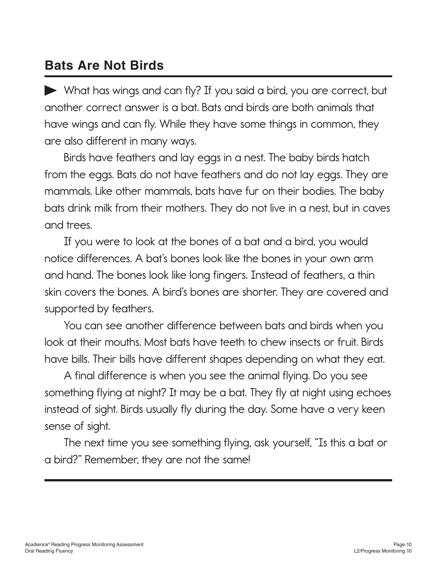## **Bats Are Not Birds**

What has wings and can fly? If you said a bird, you are correct, but another correct answer is a bat. Bats and birds are both animals that have wings and can fly. While they have some things in common, they are also different in many ways.

Birds have feathers and lay eggs in a nest. The baby birds hatch from the eggs. Bats do not have feathers and do not lay eggs. They are mammals. Like other mammals, bats have fur on their bodies. The baby bats drink milk from their mothers. They do not live in a nest, but in caves and trees.

If you were to look at the bones of a bat and a bird, you would notice differences. A bat's bones look like the bones in your own arm and hand. The bones look like long fingers. Instead of feathers, a thin skin covers the bones. A bird's bones are shorter. They are covered and supported by feathers.

You can see another difference between bats and birds when you look at their mouths. Most bats have teeth to chew insects or fruit. Birds have bills. Their bills have different shapes depending on what they eat.

A final difference is when you see the animal flying. Do you see something flying at night? It may be a bat. They fly at night using echoes instead of sight. Birds usually fly during the day. Some have a very keen sense of sight.

The next time you see something flying, ask yourself, "Is this a bat or a bird?" Remember, they are not the same!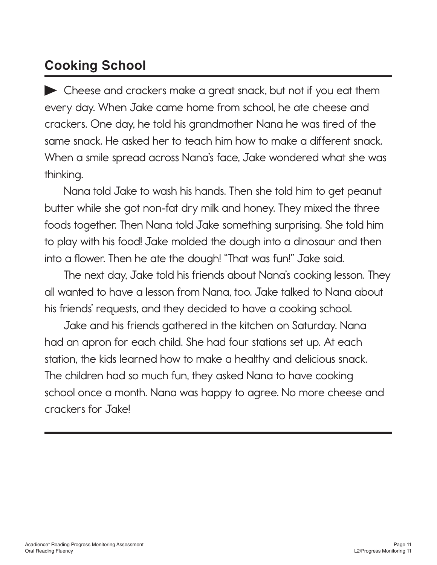## **Cooking School**

Cheese and crackers make a great snack, but not if you eat them every day. When Jake came home from school, he ate cheese and crackers. One day, he told his grandmother Nana he was tired of the same snack. He asked her to teach him how to make a different snack. When a smile spread across Nana's face, Jake wondered what she was thinking.

Nana told Jake to wash his hands. Then she told him to get peanut butter while she got non-fat dry milk and honey. They mixed the three foods together. Then Nana told Jake something surprising. She told him to play with his food! Jake molded the dough into a dinosaur and then into a flower. Then he ate the dough! "That was fun!" Jake said.

The next day, Jake told his friends about Nana's cooking lesson. They all wanted to have a lesson from Nana, too. Jake talked to Nana about his friends' requests, and they decided to have a cooking school.

Jake and his friends gathered in the kitchen on Saturday. Nana had an apron for each child. She had four stations set up. At each station, the kids learned how to make a healthy and delicious snack. The children had so much fun, they asked Nana to have cooking school once a month. Nana was happy to agree. No more cheese and crackers for Jake!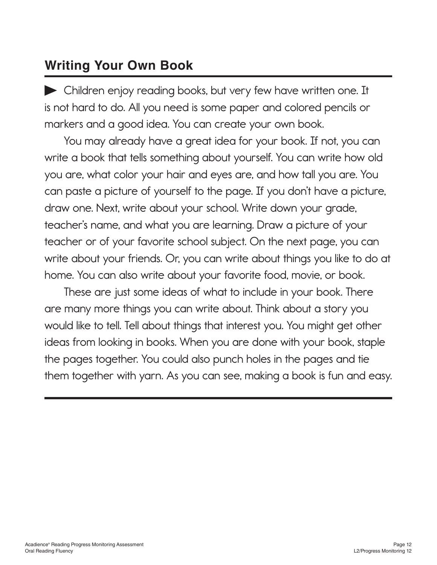## **Writing Your Own Book**

Children enjoy reading books, but very few have written one. It is not hard to do. All you need is some paper and colored pencils or markers and a good idea. You can create your own book.

You may already have a great idea for your book. If not, you can write a book that tells something about yourself. You can write how old you are, what color your hair and eyes are, and how tall you are. You can paste a picture of yourself to the page. If you don't have a picture, draw one. Next, write about your school. Write down your grade, teacher's name, and what you are learning. Draw a picture of your teacher or of your favorite school subject. On the next page, you can write about your friends. Or, you can write about things you like to do at home. You can also write about your favorite food, movie, or book.

These are just some ideas of what to include in your book. There are many more things you can write about. Think about a story you would like to tell. Tell about things that interest you. You might get other ideas from looking in books. When you are done with your book, staple the pages together. You could also punch holes in the pages and tie them together with yarn. As you can see, making a book is fun and easy.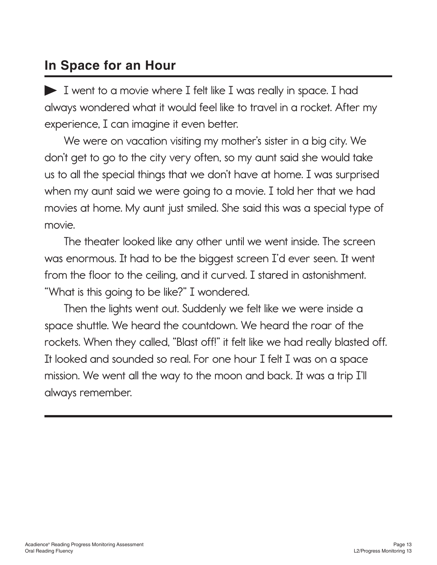#### **In Space for an Hour**

I went to a movie where I felt like I was really in space. I had always wondered what it would feel like to travel in a rocket. After my experience, I can imagine it even better.

We were on vacation visiting my mother's sister in a big city. We don't get to go to the city very often, so my aunt said she would take us to all the special things that we don't have at home. I was surprised when my aunt said we were going to a movie. I told her that we had movies at home. My aunt just smiled. She said this was a special type of movie.

The theater looked like any other until we went inside. The screen was enormous. It had to be the biggest screen I'd ever seen. It went from the floor to the ceiling, and it curved. I stared in astonishment. "What is this going to be like?" I wondered.

Then the lights went out. Suddenly we felt like we were inside a space shuttle. We heard the countdown. We heard the roar of the rockets. When they called, "Blast off!" it felt like we had really blasted off. It looked and sounded so real. For one hour I felt I was on a space mission. We went all the way to the moon and back. It was a trip I'll always remember.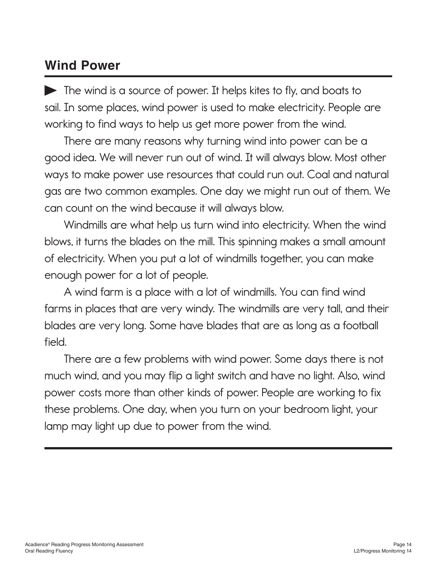#### **Wind Power**

The wind is a source of power. It helps kites to fly, and boats to sail. In some places, wind power is used to make electricity. People are working to find ways to help us get more power from the wind.

There are many reasons why turning wind into power can be a good idea. We will never run out of wind. It will always blow. Most other ways to make power use resources that could run out. Coal and natural gas are two common examples. One day we might run out of them. We can count on the wind because it will always blow.

Windmills are what help us turn wind into electricity. When the wind blows, it turns the blades on the mill. This spinning makes a small amount of electricity. When you put a lot of windmills together, you can make enough power for a lot of people.

A wind farm is a place with a lot of windmills. You can find wind farms in places that are very windy. The windmills are very tall, and their blades are very long. Some have blades that are as long as a football field.

There are a few problems with wind power. Some days there is not much wind, and you may flip a light switch and have no light. Also, wind power costs more than other kinds of power. People are working to fix these problems. One day, when you turn on your bedroom light, your lamp may light up due to power from the wind.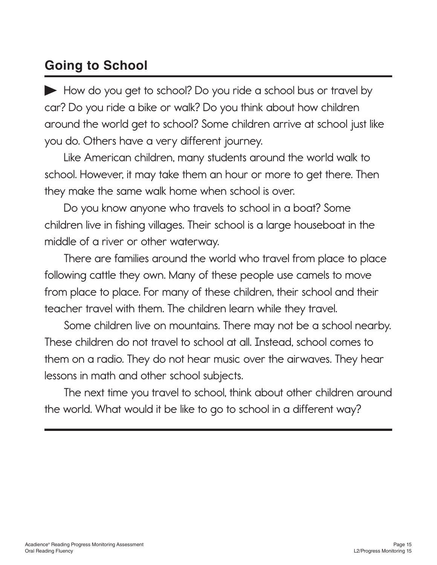## **Going to School**

How do you get to school? Do you ride a school bus or travel by car? Do you ride a bike or walk? Do you think about how children around the world get to school? Some children arrive at school just like you do. Others have a very different journey.

Like American children, many students around the world walk to school. However, it may take them an hour or more to get there. Then they make the same walk home when school is over.

Do you know anyone who travels to school in a boat? Some children live in fishing villages. Their school is a large houseboat in the middle of a river or other waterway.

There are families around the world who travel from place to place following cattle they own. Many of these people use camels to move from place to place. For many of these children, their school and their teacher travel with them. The children learn while they travel.

Some children live on mountains. There may not be a school nearby. These children do not travel to school at all. Instead, school comes to them on a radio. They do not hear music over the airwaves. They hear lessons in math and other school subjects.

The next time you travel to school, think about other children around the world. What would it be like to go to school in a different way?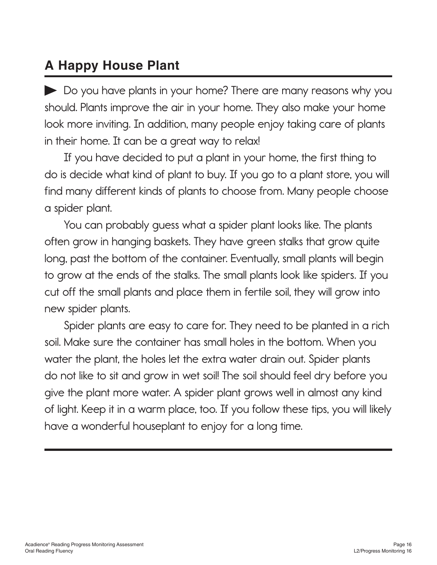## **A Happy House Plant**

Do you have plants in your home? There are many reasons why you should. Plants improve the air in your home. They also make your home look more inviting. In addition, many people enjoy taking care of plants in their home. It can be a great way to relax!

If you have decided to put a plant in your home, the first thing to do is decide what kind of plant to buy. If you go to a plant store, you will find many different kinds of plants to choose from. Many people choose a spider plant.

You can probably guess what a spider plant looks like. The plants often grow in hanging baskets. They have green stalks that grow quite long, past the bottom of the container. Eventually, small plants will begin to grow at the ends of the stalks. The small plants look like spiders. If you cut off the small plants and place them in fertile soil, they will grow into new spider plants.

Spider plants are easy to care for. They need to be planted in a rich soil. Make sure the container has small holes in the bottom. When you water the plant, the holes let the extra water drain out. Spider plants do not like to sit and grow in wet soil! The soil should feel dry before you give the plant more water. A spider plant grows well in almost any kind of light. Keep it in a warm place, too. If you follow these tips, you will likely have a wonderful houseplant to enjoy for a long time.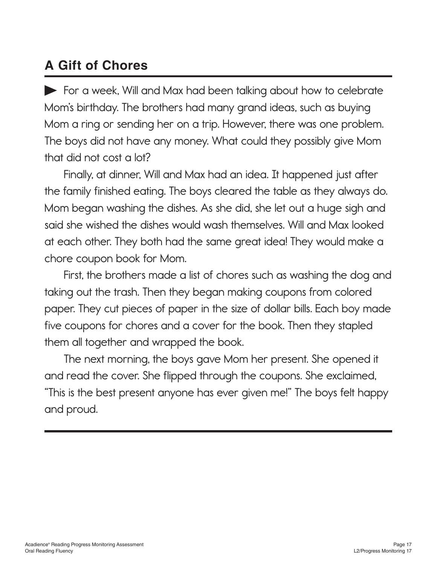## **A Gift of Chores**

For a week, Will and Max had been talking about how to celebrate Mom's birthday. The brothers had many grand ideas, such as buying Mom a ring or sending her on a trip. However, there was one problem. The boys did not have any money. What could they possibly give Mom that did not cost a lot?

Finally, at dinner, Will and Max had an idea. It happened just after the family finished eating. The boys cleared the table as they always do. Mom began washing the dishes. As she did, she let out a huge sigh and said she wished the dishes would wash themselves. Will and Max looked at each other. They both had the same great idea! They would make a chore coupon book for Mom.

First, the brothers made a list of chores such as washing the dog and taking out the trash. Then they began making coupons from colored paper. They cut pieces of paper in the size of dollar bills. Each boy made five coupons for chores and a cover for the book. Then they stapled them all together and wrapped the book.

The next morning, the boys gave Mom her present. She opened it and read the cover. She flipped through the coupons. She exclaimed, "This is the best present anyone has ever given me!" The boys felt happy and proud.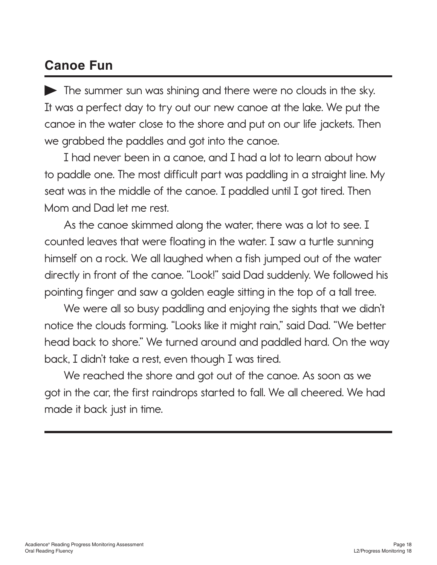### **Canoe Fun**

The summer sun was shining and there were no clouds in the sky. It was a perfect day to try out our new canoe at the lake. We put the canoe in the water close to the shore and put on our life jackets. Then we grabbed the paddles and got into the canoe.

I had never been in a canoe, and I had a lot to learn about how to paddle one. The most difficult part was paddling in a straight line. My seat was in the middle of the canoe. I paddled until I got tired. Then Mom and Dad let me rest.

As the canoe skimmed along the water, there was a lot to see. I counted leaves that were floating in the water. I saw a turtle sunning himself on a rock. We all laughed when a fish jumped out of the water directly in front of the canoe. "Look!" said Dad suddenly. We followed his pointing finger and saw a golden eagle sitting in the top of a tall tree.

We were all so busy paddling and enjoying the sights that we didn't notice the clouds forming. "Looks like it might rain," said Dad. "We better head back to shore." We turned around and paddled hard. On the way back, I didn't take a rest, even though I was tired.

We reached the shore and got out of the canoe. As soon as we got in the car, the first raindrops started to fall. We all cheered. We had made it back just in time.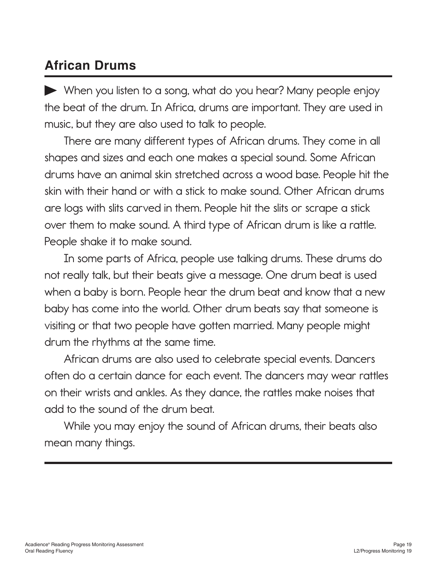## **African Drums**

When you listen to a song, what do you hear? Many people enjoy the beat of the drum. In Africa, drums are important. They are used in music, but they are also used to talk to people.

There are many different types of African drums. They come in all shapes and sizes and each one makes a special sound. Some African drums have an animal skin stretched across a wood base. People hit the skin with their hand or with a stick to make sound. Other African drums are logs with slits carved in them. People hit the slits or scrape a stick over them to make sound. A third type of African drum is like a rattle. People shake it to make sound.

In some parts of Africa, people use talking drums. These drums do not really talk, but their beats give a message. One drum beat is used when a baby is born. People hear the drum beat and know that a new baby has come into the world. Other drum beats say that someone is visiting or that two people have gotten married. Many people might drum the rhythms at the same time.

African drums are also used to celebrate special events. Dancers often do a certain dance for each event. The dancers may wear rattles on their wrists and ankles. As they dance, the rattles make noises that add to the sound of the drum beat.

While you may enjoy the sound of African drums, their beats also mean many things.